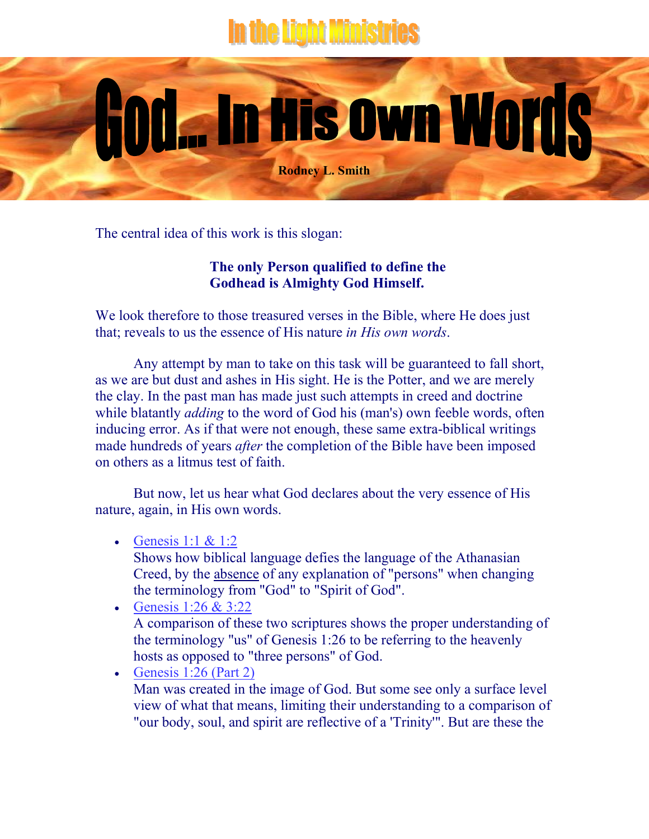## the Light Ministries

The central idea of this work is this slogan:

j

## **The only Person qualified to define the Godhead is Almighty God Himself.**

**Rodney L. Smith**

God... In His own Words

We look therefore to those treasured verses in the Bible, where He does just that; reveals to us the essence of His nature *in His own words*.

Any attempt by man to take on this task will be guaranteed to fall short, as we are but dust and ashes in His sight. He is the Potter, and we are merely the clay. In the past man has made just such attempts in creed and doctrine while blatantly *adding* to the word of God his (man's) own feeble words, often inducing error. As if that were not enough, these same extra-biblical writings made hundreds of years *after* the completion of the Bible have been imposed on others as a litmus test of faith.

But now, let us hear what God declares about the very essence of His nature, again, in His own words.

- Genesis  $1:1 \& 1:2$ 
	- Shows how biblical language defies the language of the Athanasian Creed, by the absence of any explanation of "persons" when changing the terminology from "God" to "Spirit of God".
- Genesis 1:26 & 3:22 A comparison of these two scriptures shows the proper understanding of the terminology "us" of Genesis 1:26 to be referring to the heavenly hosts as opposed to "three persons" of God.

• Genesis  $1:26$  (Part 2) Man was created in the image of God. But some see only a surface level view of what that means, limiting their understanding to a comparison of "our body, soul, and spirit are reflective of a 'Trinity'". But are these the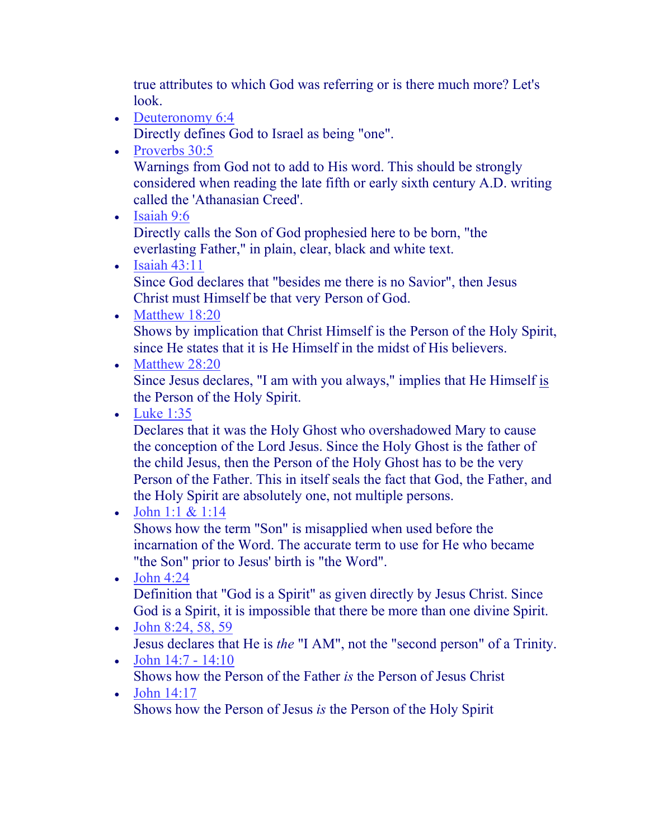true attributes to which God was referring or is there much more? Let's look.

• Deuteronomy 6:4

Directly defines God to Israel as being "one".

• Proverbs 30:5

Warnings from God not to add to His word. This should be strongly considered when reading the late fifth or early sixth century A.D. writing called the 'Athanasian Creed'.

• Isaiah 9:6

Directly calls the Son of God prophesied here to be born, "the everlasting Father," in plain, clear, black and white text.

• Isaiah  $43:11$ Since God declares that "besides me there is no Savior", then Jesus

Christ must Himself be that very Person of God.

• Matthew 18:20

Shows by implication that Christ Himself is the Person of the Holy Spirit, since He states that it is He Himself in the midst of His believers.

• Matthew 28:20

Since Jesus declares, "I am with you always," implies that He Himself is the Person of the Holy Spirit.

• Luke 1:35

Declares that it was the Holy Ghost who overshadowed Mary to cause the conception of the Lord Jesus. Since the Holy Ghost is the father of the child Jesus, then the Person of the Holy Ghost has to be the very Person of the Father. This in itself seals the fact that God, the Father, and the Holy Spirit are absolutely one, not multiple persons.

• John 1:1  $& 1:14$ 

Shows how the term "Son" is misapplied when used before the incarnation of the Word. The accurate term to use for He who became "the Son" prior to Jesus' birth is "the Word".

- $\bullet$  John 4:24 Definition that "God is a Spirit" as given directly by Jesus Christ. Since God is a Spirit, it is impossible that there be more than one divine Spirit.
- John  $8:24, 58, 59$ Jesus declares that He is *the* "I AM", not the "second person" of a Trinity.
- John  $14:7 14:10$ Shows how the Person of the Father *is* the Person of Jesus Christ
- John 14:17 Shows how the Person of Jesus *is* the Person of the Holy Spirit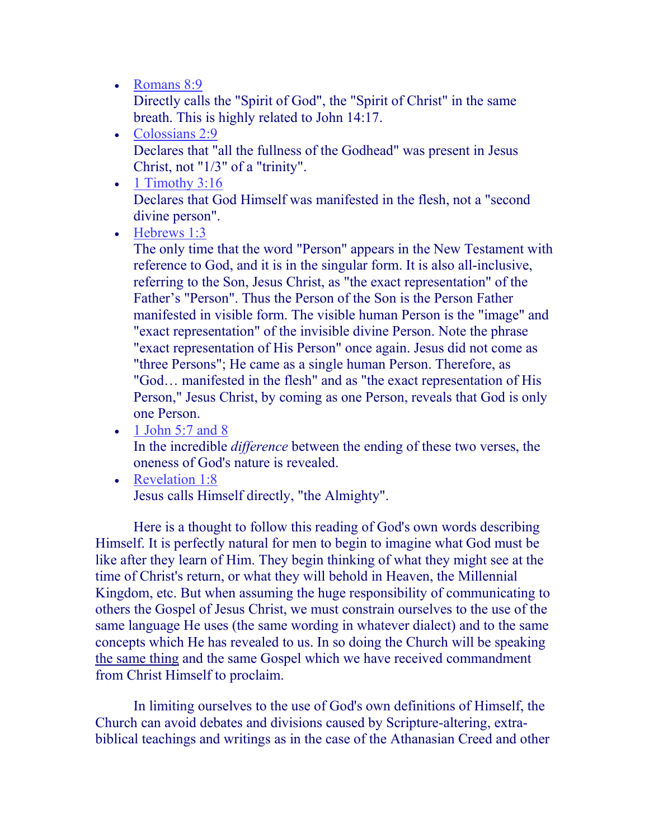• Romans 8:9

Directly calls the "Spirit of God", the "Spirit of Christ" in the same breath. This is highly related to John 14:17.

- Colossians 2:9 Declares that "all the fullness of the Godhead" was present in Jesus Christ, not "1/3" of a "trinity".
- $\bullet$  1 Timothy 3:16 Declares that God Himself was manifested in the flesh, not a "second divine person".
- Hebrews 1:3

The only time that the word "Person" appears in the New Testament with reference to God, and it is in the singular form. It is also all-inclusive, referring to the Son, Jesus Christ, as "the exact representation" of the Father's "Person". Thus the Person of the Son is the Person Father manifested in visible form. The visible human Person is the "image" and "exact representation" of the invisible divine Person. Note the phrase "exact representation of His Person" once again. Jesus did not come as "three Persons"; He came as a single human Person. Therefore, as "God… manifested in the flesh" and as "the exact representation of His Person," Jesus Christ, by coming as one Person, reveals that God is only one Person.

 $\bullet$  1 John 5:7 and 8

In the incredible *difference* between the ending of these two verses, the oneness of God's nature is revealed.

• Revelation 1:8 Jesus calls Himself directly, "the Almighty".

Here is a thought to follow this reading of God's own words describing Himself. It is perfectly natural for men to begin to imagine what God must be like after they learn of Him. They begin thinking of what they might see at the time of Christ's return, or what they will behold in Heaven, the Millennial Kingdom, etc. But when assuming the huge responsibility of communicating to others the Gospel of Jesus Christ, we must constrain ourselves to the use of the same language He uses (the same wording in whatever dialect) and to the same concepts which He has revealed to us. In so doing the Church will be speaking the same thing and the same Gospel which we have received commandment from Christ Himself to proclaim.

In limiting ourselves to the use of God's own definitions of Himself, the Church can avoid debates and divisions caused by Scripture-altering, extrabiblical teachings and writings as in the case of the Athanasian Creed and other